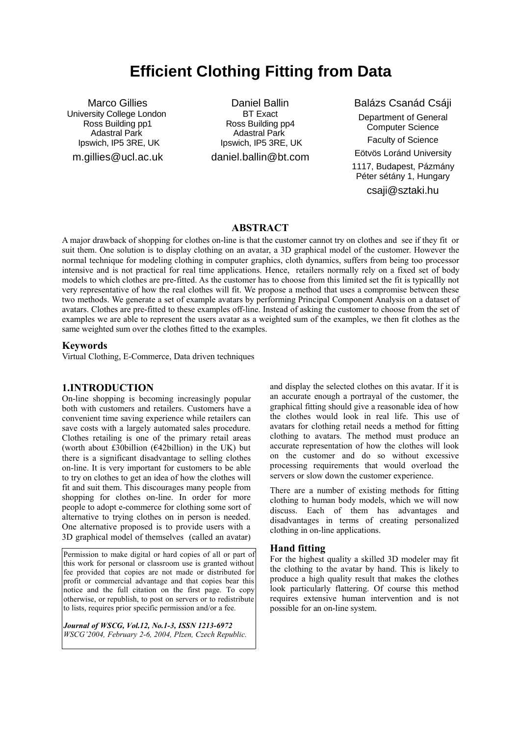# **Efficient Clothing Fitting from Data**

Marco Gillies University College London Ross Building pp1 Adastral Park Ipswich, IP5 3RE, UK m.gillies@ucl.ac.uk

Daniel Ballin BT Exact Ross Building pp4 Adastral Park Ipswich, IP5 3RE, UK daniel.ballin@bt.com

Balázs Csanád Csáji Department of General Computer Science Faculty of Science Eötvös Loránd University 1117, Budapest, Pázmány Péter sétány 1, Hungary csaji@sztaki.hu

#### **ABSTRACT**

A major drawback of shopping for clothes on-line is that the customer cannot try on clothes and see if they fit or suit them. One solution is to display clothing on an avatar, a 3D graphical model of the customer. However the normal technique for modeling clothing in computer graphics, cloth dynamics, suffers from being too processor intensive and is not practical for real time applications. Hence, retailers normally rely on a fixed set of body models to which clothes are pre-fitted. As the customer has to choose from this limited set the fit is typicallly not very representative of how the real clothes will fit. We propose a method that uses a compromise between these two methods. We generate a set of example avatars by performing Principal Component Analysis on a dataset of avatars. Clothes are pre-fitted to these examples off-line. Instead of asking the customer to choose from the set of examples we are able to represent the users avatar as a weighted sum of the examples, we then fit clothes as the same weighted sum over the clothes fitted to the examples.

#### **Keywords**

Virtual Clothing, E-Commerce, Data driven techniques

#### **1.INTRODUCTION**

On-line shopping is becoming increasingly popular both with customers and retailers. Customers have a convenient time saving experience while retailers can save costs with a largely automated sales procedure. Clothes retailing is one of the primary retail areas (worth about £30billion ( $€42$ billion) in the UK) but there is a significant disadvantage to selling clothes on-line. It is very important for customers to be able to try on clothes to get an idea of how the clothes will fit and suit them. This discourages many people from shopping for clothes on-line. In order for more people to adopt e-commerce for clothing some sort of alternative to trying clothes on in person is needed. One alternative proposed is to provide users with a 3D graphical model of themselves (called an avatar)

Permission to make digital or hard copies of all or part of this work for personal or classroom use is granted without fee provided that copies are not made or distributed for profit or commercial advantage and that copies bear this notice and the full citation on the first page. To copy otherwise, or republish, to post on servers or to redistribute to lists, requires prior specific permission and/or a fee.

*Journal of WSCG, Vol.12, No.1-3, ISSN 1213-6972 WSCG'2004, February 2-6, 2004, Plzen, Czech Republic.*

and display the selected clothes on this avatar. If it is an accurate enough a portrayal of the customer, the graphical fitting should give a reasonable idea of how the clothes would look in real life. This use of avatars for clothing retail needs a method for fitting clothing to avatars. The method must produce an accurate representation of how the clothes will look on the customer and do so without excessive processing requirements that would overload the servers or slow down the customer experience.

There are a number of existing methods for fitting clothing to human body models, which we will now discuss. Each of them has advantages and disadvantages in terms of creating personalized clothing in on-line applications.

#### **Hand fitting**

For the highest quality a skilled 3D modeler may fit the clothing to the avatar by hand. This is likely to produce a high quality result that makes the clothes look particularly flattering. Of course this method requires extensive human intervention and is not possible for an on-line system.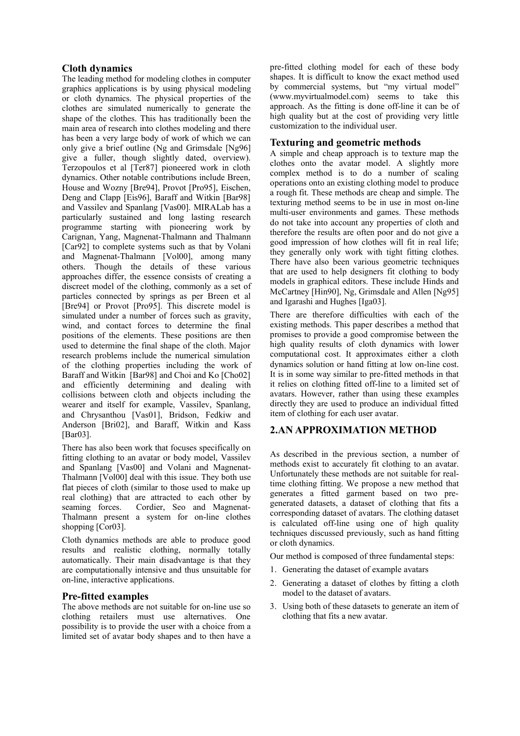# **Cloth dynamics**

The leading method for modeling clothes in computer graphics applications is by using physical modeling or cloth dynamics. The physical properties of the clothes are simulated numerically to generate the shape of the clothes. This has traditionally been the main area of research into clothes modeling and there has been a very large body of work of which we can only give a brief outline (Ng and Grimsdale [Ng96] give a fuller, though slightly dated, overview). Terzopoulos et al [Ter87] pioneered work in cloth dynamics. Other notable contributions include Breen, House and Wozny [Bre94], Provot [Pro95], Eischen, Deng and Clapp [Eis96], Baraff and Witkin [Bar98] and Vassilev and Spanlang [Vas00]. MIRALab has a particularly sustained and long lasting research programme starting with pioneering work by Carignan, Yang, Magnenat-Thalmann and Thalmann [Car92] to complete systems such as that by Volani and Magnenat-Thalmann [Vol00], among many others. Though the details of these various approaches differ, the essence consists of creating a discreet model of the clothing, commonly as a set of particles connected by springs as per Breen et al [Bre94] or Provot [Pro95]. This discrete model is simulated under a number of forces such as gravity, wind, and contact forces to determine the final positions of the elements. These positions are then used to determine the final shape of the cloth. Major research problems include the numerical simulation of the clothing properties including the work of Baraff and Witkin [Bar98] and Choi and Ko [Cho02] and efficiently determining and dealing with collisions between cloth and objects including the wearer and itself for example, Vassilev, Spanlang, and Chrysanthou [Vas01], Bridson, Fedkiw and Anderson [Bri02], and Baraff, Witkin and Kass [Bar03].

There has also been work that focuses specifically on fitting clothing to an avatar or body model, Vassilev and Spanlang [Vas00] and Volani and Magnenat-Thalmann [Vol00] deal with this issue. They both use flat pieces of cloth (similar to those used to make up real clothing) that are attracted to each other by seaming forces. Cordier, Seo and Magnenat-Thalmann present a system for on-line clothes shopping [Cor03].

Cloth dynamics methods are able to produce good results and realistic clothing, normally totally automatically. Their main disadvantage is that they are computationally intensive and thus unsuitable for on-line, interactive applications.

# **Pre-fitted examples**

The above methods are not suitable for on-line use so clothing retailers must use alternatives. One possibility is to provide the user with a choice from a limited set of avatar body shapes and to then have a pre-fitted clothing model for each of these body shapes. It is difficult to know the exact method used by commercial systems, but "my virtual model" (www.myvirtualmodel.com) seems to take this approach. As the fitting is done off-line it can be of high quality but at the cost of providing very little customization to the individual user.

# **Texturing and geometric methods**

A simple and cheap approach is to texture map the clothes onto the avatar model. A slightly more complex method is to do a number of scaling operations onto an existing clothing model to produce a rough fit. These methods are cheap and simple. The texturing method seems to be in use in most on-line multi-user environments and games. These methods do not take into account any properties of cloth and therefore the results are often poor and do not give a good impression of how clothes will fit in real life; they generally only work with tight fitting clothes. There have also been various geometric techniques that are used to help designers fit clothing to body models in graphical editors. These include Hinds and McCartney [Hin90], Ng, Grimsdale and Allen [Ng95] and Igarashi and Hughes [Iga03].

There are therefore difficulties with each of the existing methods. This paper describes a method that promises to provide a good compromise between the high quality results of cloth dynamics with lower computational cost. It approximates either a cloth dynamics solution or hand fitting at low on-line cost. It is in some way similar to pre-fitted methods in that it relies on clothing fitted off-line to a limited set of avatars. However, rather than using these examples directly they are used to produce an individual fitted item of clothing for each user avatar.

# **2.AN APPROXIMATION METHOD**

As described in the previous section, a number of methods exist to accurately fit clothing to an avatar. Unfortunately these methods are not suitable for realtime clothing fitting. We propose a new method that generates a fitted garment based on two pregenerated datasets, a dataset of clothing that fits a corresponding dataset of avatars. The clothing dataset is calculated off-line using one of high quality techniques discussed previously, such as hand fitting or cloth dynamics.

Our method is composed of three fundamental steps:

- 1. Generating the dataset of example avatars
- 2. Generating a dataset of clothes by fitting a cloth model to the dataset of avatars.
- 3. Using both of these datasets to generate an item of clothing that fits a new avatar.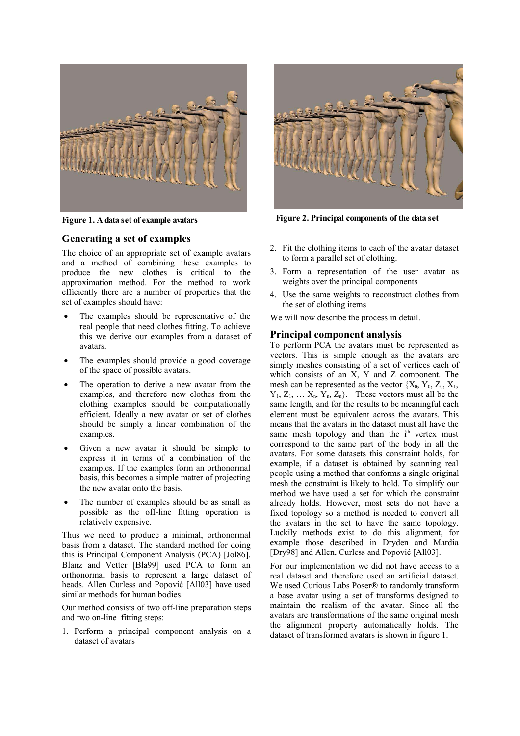

#### **Generating a set of examples**

The choice of an appropriate set of example avatars and a method of combining these examples to produce the new clothes is critical to the approximation method. For the method to work efficiently there are a number of properties that the set of examples should have:

- The examples should be representative of the real people that need clothes fitting. To achieve this we derive our examples from a dataset of avatars.
- The examples should provide a good coverage of the space of possible avatars.
- The operation to derive a new avatar from the examples, and therefore new clothes from the clothing examples should be computationally efficient. Ideally a new avatar or set of clothes should be simply a linear combination of the examples.
- Given a new avatar it should be simple to express it in terms of a combination of the examples. If the examples form an orthonormal basis, this becomes a simple matter of projecting the new avatar onto the basis.
- The number of examples should be as small as possible as the off-line fitting operation is relatively expensive.

Thus we need to produce a minimal, orthonormal basis from a dataset. The standard method for doing this is Principal Component Analysis (PCA) [Jol86]. Blanz and Vetter [Bla99] used PCA to form an orthonormal basis to represent a large dataset of heads. Allen Curless and Popović [All03] have used similar methods for human bodies.

Our method consists of two off-line preparation steps and two on-line fitting steps:

1. Perform a principal component analysis on a dataset of avatars



**Figure 1. A data set of example avatars Figure 2. Principal components of the data set**

- 2. Fit the clothing items to each of the avatar dataset to form a parallel set of clothing.
- 3. Form a representation of the user avatar as weights over the principal components
- 4. Use the same weights to reconstruct clothes from the set of clothing items

We will now describe the process in detail.

#### **Principal component analysis**

To perform PCA the avatars must be represented as vectors. This is simple enough as the avatars are simply meshes consisting of a set of vertices each of which consists of an X, Y and Z component. The mesh can be represented as the vector {X0, Y0, Z0, X1,  $Y_1, Z_1, \ldots, X_n, Y_n, Z_n$ . These vectors must all be the same length, and for the results to be meaningful each element must be equivalent across the avatars. This means that the avatars in the dataset must all have the same mesh topology and than the i<sup>th</sup> vertex must correspond to the same part of the body in all the avatars. For some datasets this constraint holds, for example, if a dataset is obtained by scanning real people using a method that conforms a single original mesh the constraint is likely to hold. To simplify our method we have used a set for which the constraint already holds. However, most sets do not have a fixed topology so a method is needed to convert all the avatars in the set to have the same topology. Luckily methods exist to do this alignment, for example those described in Dryden and Mardia [Dry98] and Allen, Curless and Popović [All03].

For our implementation we did not have access to a real dataset and therefore used an artificial dataset. We used Curious Labs Poser® to randomly transform a base avatar using a set of transforms designed to maintain the realism of the avatar. Since all the avatars are transformations of the same original mesh the alignment property automatically holds. The dataset of transformed avatars is shown in figure 1.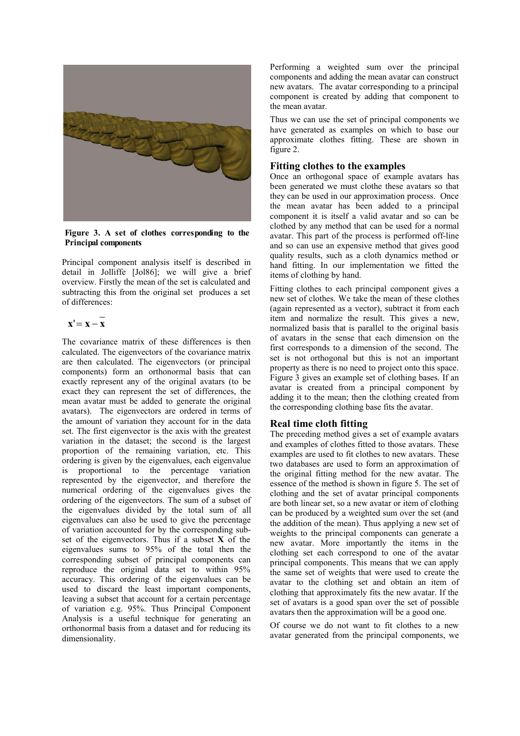

**Figure 3. A set of clothes corresponding to the Principal components**

Principal component analysis itself is described in detail in Jolliffe [Jol86]; we will give a brief overview. Firstly the mean of the set is calculated and subtracting this from the original set produces a set of differences:

$$
\mathbf{x}' = \mathbf{x} - \mathbf{x}
$$

The covariance matrix of these differences is then calculated. The eigenvectors of the covariance matrix are then calculated. The eigenvectors (or principal components) form an orthonormal basis that can exactly represent any of the original avatars (to be exact they can represent the set of differences, the mean avatar must be added to generate the original avatars). The eigenvectors are ordered in terms of the amount of variation they account for in the data set. The first eigenvector is the axis with the greatest variation in the dataset; the second is the largest proportion of the remaining variation, etc. This ordering is given by the eigenvalues, each eigenvalue is proportional to the percentage variation represented by the eigenvector, and therefore the numerical ordering of the eigenvalues gives the ordering of the eigenvectors. The sum of a subset of the eigenvalues divided by the total sum of all eigenvalues can also be used to give the percentage of variation accounted for by the corresponding subset of the eigenvectors. Thus if a subset **X** of the eigenvalues sums to 95% of the total then the corresponding subset of principal components can reproduce the original data set to within 95% accuracy. This ordering of the eigenvalues can be used to discard the least important components, leaving a subset that account for a certain percentage of variation e.g. 95%. Thus Principal Component Analysis is a useful technique for generating an orthonormal basis from a dataset and for reducing its dimensionality.

Performing a weighted sum over the principal components and adding the mean avatar can construct new avatars. The avatar corresponding to a principal component is created by adding that component to the mean avatar.

Thus we can use the set of principal components we have generated as examples on which to base our approximate clothes fitting. These are shown in figure 2.

### **Fitting clothes to the examples**

Once an orthogonal space of example avatars has been generated we must clothe these avatars so that they can be used in our approximation process. Once the mean avatar has been added to a principal component it is itself a valid avatar and so can be clothed by any method that can be used for a normal avatar. This part of the process is performed off-line and so can use an expensive method that gives good quality results, such as a cloth dynamics method or hand fitting. In our implementation we fitted the items of clothing by hand.

Fitting clothes to each principal component gives a new set of clothes. We take the mean of these clothes (again represented as a vector), subtract it from each item and normalize the result. This gives a new, normalized basis that is parallel to the original basis of avatars in the sense that each dimension on the first corresponds to a dimension of the second. The set is not orthogonal but this is not an important property as there is no need to project onto this space. Figure 3 gives an example set of clothing bases. If an avatar is created from a principal component by adding it to the mean; then the clothing created from the corresponding clothing base fits the avatar.

# **Real time cloth fitting**

The preceding method gives a set of example avatars and examples of clothes fitted to those avatars. These examples are used to fit clothes to new avatars. These two databases are used to form an approximation of the original fitting method for the new avatar. The essence of the method is shown in figure 5. The set of clothing and the set of avatar principal components are both linear set, so a new avatar or item of clothing can be produced by a weighted sum over the set (and the addition of the mean). Thus applying a new set of weights to the principal components can generate a new avatar. More importantly the items in the clothing set each correspond to one of the avatar principal components. This means that we can apply the same set of weights that were used to create the avatar to the clothing set and obtain an item of clothing that approximately fits the new avatar. If the set of avatars is a good span over the set of possible avatars then the approximation will be a good one.

Of course we do not want to fit clothes to a new avatar generated from the principal components, we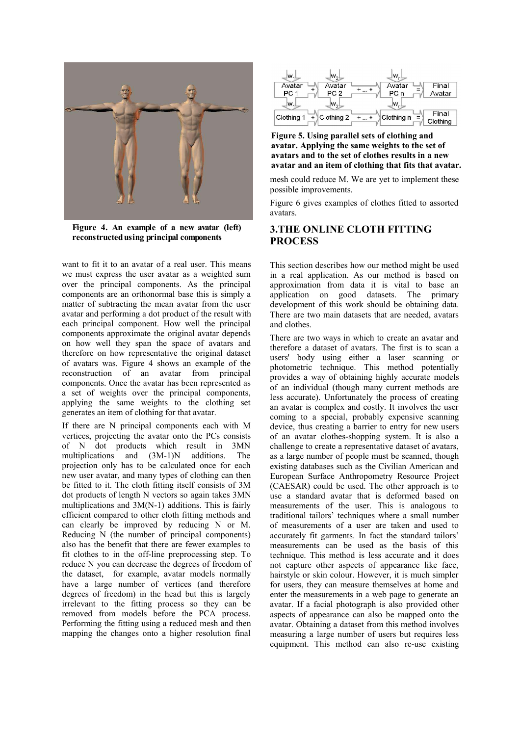

**Figure 4. An example of a new avatar (left) reconstructedusing principal components**

want to fit it to an avatar of a real user. This means we must express the user avatar as a weighted sum over the principal components. As the principal components are an orthonormal base this is simply a matter of subtracting the mean avatar from the user avatar and performing a dot product of the result with each principal component. How well the principal components approximate the original avatar depends on how well they span the space of avatars and therefore on how representative the original dataset of avatars was. Figure 4 shows an example of the reconstruction of an avatar from principal components. Once the avatar has been represented as a set of weights over the principal components, applying the same weights to the clothing set generates an item of clothing for that avatar.

If there are N principal components each with M vertices, projecting the avatar onto the PCs consists of N dot products which result in 3MN multiplications and (3M-1)N additions. The projection only has to be calculated once for each new user avatar, and many types of clothing can then be fitted to it. The cloth fitting itself consists of 3M dot products of length N vectors so again takes 3MN multiplications and 3M(N-1) additions. This is fairly efficient compared to other cloth fitting methods and can clearly be improved by reducing N or M. Reducing N (the number of principal components) also has the benefit that there are fewer examples to fit clothes to in the off-line preprocessing step. To reduce N you can decrease the degrees of freedom of the dataset, for example, avatar models normally have a large number of vertices (and therefore degrees of freedom) in the head but this is largely irrelevant to the fitting process so they can be removed from models before the PCA process. Performing the fitting using a reduced mesh and then mapping the changes onto a higher resolution final



**Figure 5. Using parallel sets of clothing and avatar. Applying the same weights to the set of avatars and to the set of clothes results in a new avatar and an item of clothing that fits that avatar.**

mesh could reduce M. We are yet to implement these possible improvements.

Figure 6 gives examples of clothes fitted to assorted avatars.

# **3.THE ONLINE CLOTH FITTING PROCESS**

This section describes how our method might be used in a real application. As our method is based on approximation from data it is vital to base an application on good datasets. The primary development of this work should be obtaining data. There are two main datasets that are needed, avatars and clothes.

There are two ways in which to create an avatar and therefore a dataset of avatars. The first is to scan a users' body using either a laser scanning or photometric technique. This method potentially provides a way of obtaining highly accurate models of an individual (though many current methods are less accurate). Unfortunately the process of creating an avatar is complex and costly. It involves the user coming to a special, probably expensive scanning device, thus creating a barrier to entry for new users of an avatar clothes-shopping system. It is also a challenge to create a representative dataset of avatars, as a large number of people must be scanned, though existing databases such as the Civilian American and European Surface Anthropometry Resource Project (CAESAR) could be used. The other approach is to use a standard avatar that is deformed based on measurements of the user. This is analogous to traditional tailors' techniques where a small number of measurements of a user are taken and used to accurately fit garments. In fact the standard tailors' measurements can be used as the basis of this technique. This method is less accurate and it does not capture other aspects of appearance like face, hairstyle or skin colour. However, it is much simpler for users, they can measure themselves at home and enter the measurements in a web page to generate an avatar. If a facial photograph is also provided other aspects of appearance can also be mapped onto the avatar. Obtaining a dataset from this method involves measuring a large number of users but requires less equipment. This method can also re-use existing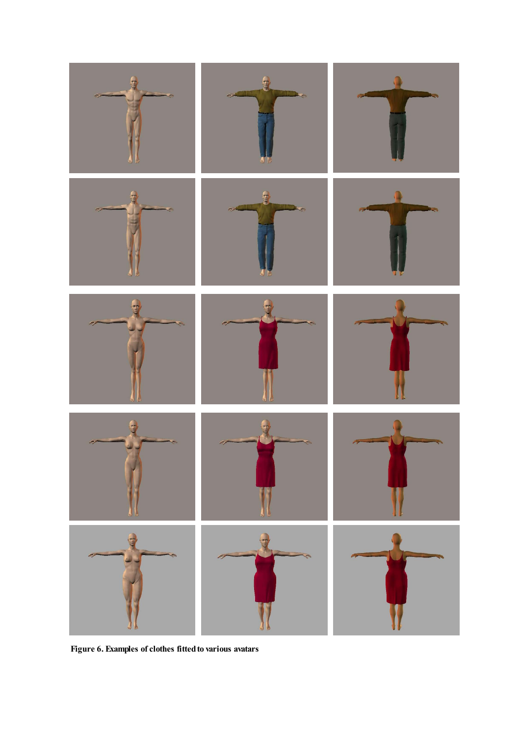

**Figure 6. Examples of clothes fittedto various avatars**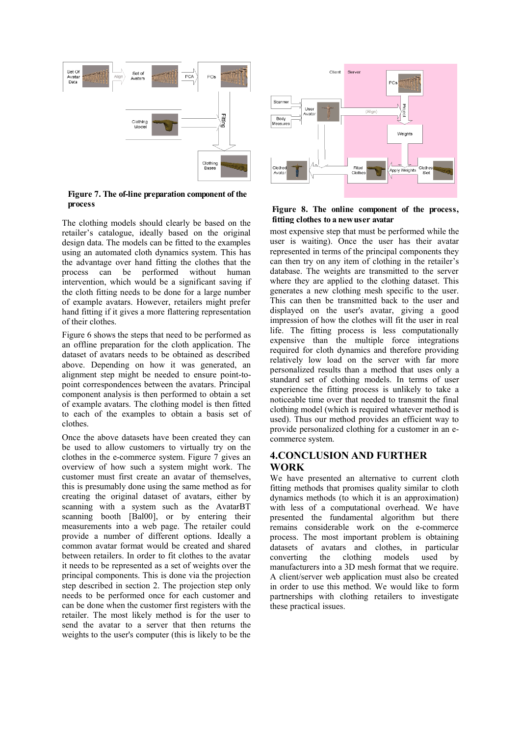

**Figure 7. The of-line preparationcomponent of the process**

The clothing models should clearly be based on the retailer's catalogue, ideally based on the original design data. The models can be fitted to the examples using an automated cloth dynamics system. This has the advantage over hand fitting the clothes that the process can be performed without human intervention, which would be a significant saving if the cloth fitting needs to be done for a large number of example avatars. However, retailers might prefer hand fitting if it gives a more flattering representation of their clothes.

Figure 6 shows the steps that need to be performed as an offline preparation for the cloth application. The dataset of avatars needs to be obtained as described above. Depending on how it was generated, an alignment step might be needed to ensure point-topoint correspondences between the avatars. Principal component analysis is then performed to obtain a set of example avatars. The clothing model is then fitted to each of the examples to obtain a basis set of clothes.

Once the above datasets have been created they can be used to allow customers to virtually try on the clothes in the e-commerce system. Figure 7 gives an overview of how such a system might work. The customer must first create an avatar of themselves, this is presumably done using the same method as for creating the original dataset of avatars, either by scanning with a system such as the AvatarBT scanning booth [Bal00], or by entering their measurements into a web page. The retailer could provide a number of different options. Ideally a common avatar format would be created and shared between retailers. In order to fit clothes to the avatar it needs to be represented as a set of weights over the principal components. This is done via the projection step described in section 2. The projection step only needs to be performed once for each customer and can be done when the customer first registers with the retailer. The most likely method is for the user to send the avatar to a server that then returns the weights to the user's computer (this is likely to be the



**Figure 8. The online component of the process, fitting clothes to anewuser avatar**

most expensive step that must be performed while the user is waiting). Once the user has their avatar represented in terms of the principal components they can then try on any item of clothing in the retailer's database. The weights are transmitted to the server where they are applied to the clothing dataset. This generates a new clothing mesh specific to the user. This can then be transmitted back to the user and displayed on the user's avatar, giving a good impression of how the clothes will fit the user in real life. The fitting process is less computationally expensive than the multiple force integrations required for cloth dynamics and therefore providing relatively low load on the server with far more personalized results than a method that uses only a standard set of clothing models. In terms of user experience the fitting process is unlikely to take a noticeable time over that needed to transmit the final clothing model (which is required whatever method is used). Thus our method provides an efficient way to provide personalized clothing for a customer in an ecommerce system.

# **4.CONCLUSION AND FURTHER WORK**

We have presented an alternative to current cloth fitting methods that promises quality similar to cloth dynamics methods (to which it is an approximation) with less of a computational overhead. We have presented the fundamental algorithm but there remains considerable work on the e-commerce process. The most important problem is obtaining datasets of avatars and clothes, in particular converting the clothing models used by manufacturers into a 3D mesh format that we require. A client/server web application must also be created in order to use this method. We would like to form partnerships with clothing retailers to investigate these practical issues.